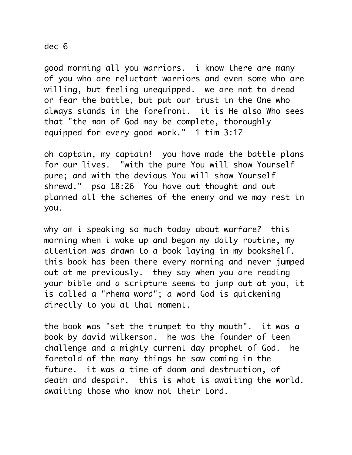## dec 6

good morning all you warriors. i know there are many of you who are reluctant warriors and even some who are willing, but feeling unequipped. we are not to dread or fear the battle, but put our trust in the One who always stands in the forefront. it is He also Who sees that "the man of God may be complete, thoroughly equipped for every good work." 1 tim 3:17

oh captain, my captain! you have made the battle plans for our lives. "with the pure You will show Yourself pure; and with the devious You will show Yourself shrewd." psa 18:26 You have out thought and out planned all the schemes of the enemy and we may rest in you.

why am i speaking so much today about warfare? this morning when i woke up and began my daily routine, my attention was drawn to a book laying in my bookshelf. this book has been there every morning and never jumped out at me previously. they say when you are reading your bible and a scripture seems to jump out at you, it is called a "rhema word"; a word God is quickening directly to you at that moment.

the book was "set the trumpet to thy mouth". it was a book by david wilkerson. he was the founder of teen challenge and a mighty current day prophet of God. he foretold of the many things he saw coming in the future. it was a time of doom and destruction, of death and despair. this is what is awaiting the world. awaiting those who know not their Lord.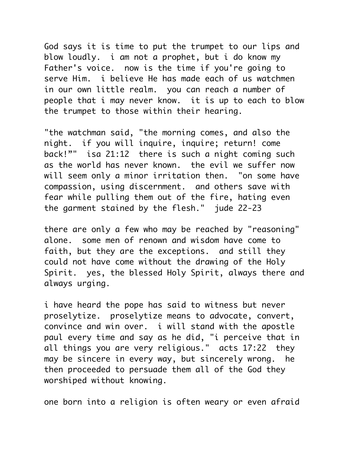God says it is time to put the trumpet to our lips and blow loudly. i am not a prophet, but i do know my Father's voice. now is the time if you're going to serve Him. i believe He has made each of us watchmen in our own little realm. you can reach a number of people that i may never know. it is up to each to blow the trumpet to those within their hearing.

"the watchman said, "the morning comes, and also the night. if you will inquire, inquire; return! come back!"" isa 21:12 there is such a night coming such as the world has never known. the evil we suffer now will seem only a minor irritation then. "on some have compassion, using discernment. and others save with fear while pulling them out of the fire, hating even the garment stained by the flesh." jude 22-23

there are only a few who may be reached by "reasoning" alone. some men of renown and wisdom have come to faith, but they are the exceptions. and still they could not have come without the drawing of the Holy Spirit. yes, the blessed Holy Spirit, always there and always urging.

i have heard the pope has said to witness but never proselytize. proselytize means to advocate, convert, convince and win over. i will stand with the apostle paul every time and say as he did, "i perceive that in all things you are very religious." acts 17:22 they may be sincere in every way, but sincerely wrong. he then proceeded to persuade them all of the God they worshiped without knowing.

one born into a religion is often weary or even afraid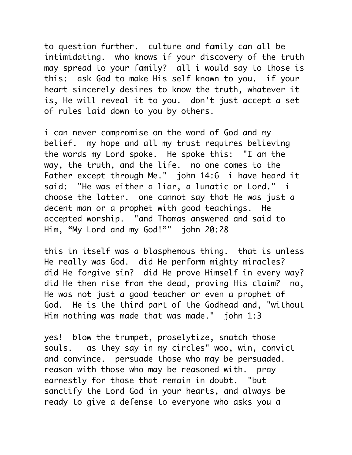to question further. culture and family can all be intimidating. who knows if your discovery of the truth may spread to your family? all i would say to those is this: ask God to make His self known to you. if your heart sincerely desires to know the truth, whatever it is, He will reveal it to you. don't just accept a set of rules laid down to you by others.

i can never compromise on the word of God and my belief. my hope and all my trust requires believing the words my Lord spoke. He spoke this: "I am the way, the truth, and the life. no one comes to the Father except through Me." john 14:6 i have heard it said: "He was either a liar, a lunatic or Lord." i choose the latter. one cannot say that He was just a decent man or a prophet with good teachings. He accepted worship. "and Thomas answered and said to Him, "My Lord and my God!"" john 20:28

this in itself was a blasphemous thing. that is unless He really was God. did He perform mighty miracles? did He forgive sin? did He prove Himself in every way? did He then rise from the dead, proving His claim? no, He was not just a good teacher or even a prophet of God. He is the third part of the Godhead and, "without Him nothing was made that was made." john 1:3

yes! blow the trumpet, proselytize, snatch those souls. as they say in my circles" woo, win, convict and convince. persuade those who may be persuaded. reason with those who may be reasoned with. pray earnestly for those that remain in doubt. "but sanctify the Lord God in your hearts, and always be ready to give a defense to everyone who asks you a